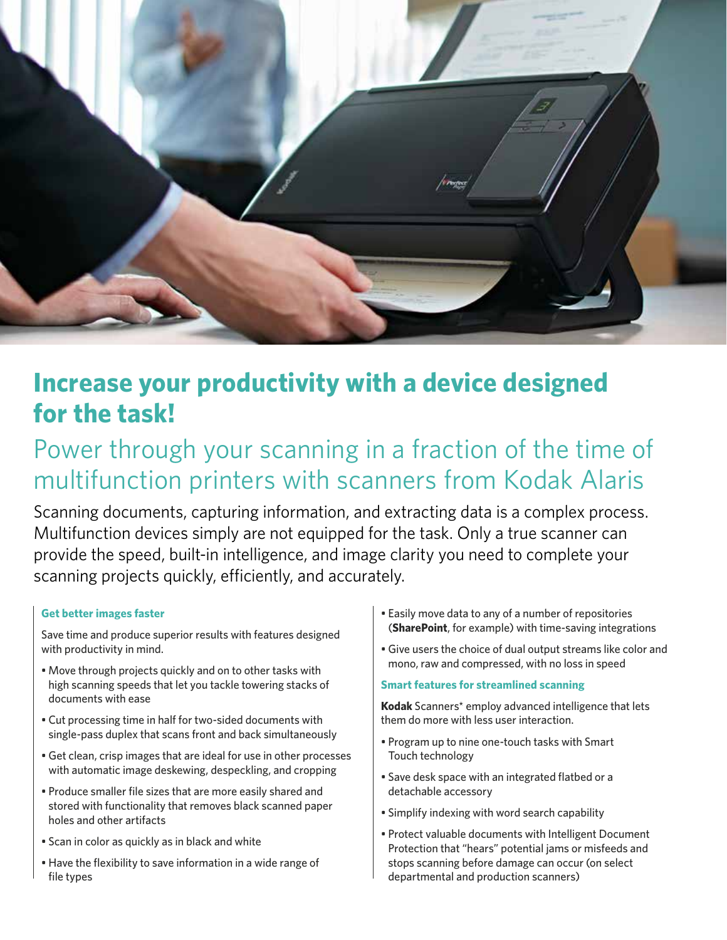

# **Increase your productivity with a device designed for the task!**

# Power through your scanning in a fraction of the time of multifunction printers with scanners from Kodak Alaris

Scanning documents, capturing information, and extracting data is a complex process. Multifunction devices simply are not equipped for the task. Only a true scanner can provide the speed, built-in intelligence, and image clarity you need to complete your scanning projects quickly, efficiently, and accurately.

### **Get better images faster**

Save time and produce superior results with features designed with productivity in mind.

- Move through projects quickly and on to other tasks with high scanning speeds that let you tackle towering stacks of documents with ease
- Cut processing time in half for two-sided documents with single-pass duplex that scans front and back simultaneously
- Get clean, crisp images that are ideal for use in other processes with automatic image deskewing, despeckling, and cropping
- Produce smaller file sizes that are more easily shared and stored with functionality that removes black scanned paper holes and other artifacts
- Scan in color as quickly as in black and white
- Have the flexibility to save information in a wide range of file types
- Easily move data to any of a number of repositories (**SharePoint**, for example) with time-saving integrations
- Give users the choice of dual output streams like color and mono, raw and compressed, with no loss in speed

#### **Smart features for streamlined scanning**

**Kodak** Scanners\* employ advanced intelligence that lets them do more with less user interaction.

- Program up to nine one-touch tasks with Smart Touch technology
- Save desk space with an integrated flatbed or a detachable accessory
- Simplify indexing with word search capability
- Protect valuable documents with Intelligent Document Protection that "hears" potential jams or misfeeds and stops scanning before damage can occur (on select departmental and production scanners)